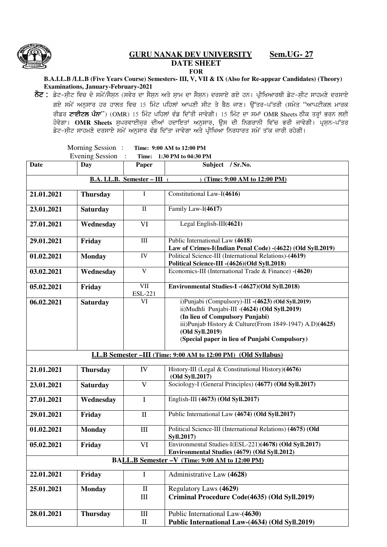

## **GURU NANAK DEV UNIVERSITY Sem.UG- 27 DATE SHEET FOR**

**B.A.LL.B /LL.B (Five Years Course) Semesters- III, V, VII & IX (Also for Re-appear Candidates) (Theory) Examinations, January-February-2021** 

**ਨੋਟ :** ਡੇਟ-ਸੀਟ ਵਿਚ ਦੋ ਸਮੇਂ/ਸੈਸਨ (ਸਵੇਰ ਦਾ ਸੈਸਨ ਅਤੇ ਸ਼ਾਮ ਦਾ ਸੈਸਨ) ਦਰਸਾਏ ਗਏ ਹਨ। ਪ੍ਰੀਖਿਆਰਥੀ ਡੇਟ-ਸੀਟ ਸਾਹਮਣੇ ਦਰਸਾਏ *rJ/ ;w/A nB[;ko jo jkbs ftu 15 fwzN gfjbK nkgDh ;hN s/ p?m ikD. T[Zso^gZsoh (;w/s* "*nkgNheb wkoe ਰੀ*ਡਰ ਟਾਈਟਲ ਪੰਨਾ'') (OMR) 15 ਮਿੰਟ ਪਹਿਲਾਂ ਵੰਡ ਦਿੱਤੀ ਜਾਵੇਗੀ। 15 ਮਿੰਟ ਦਾ ਸਮਾਂ OMR Sheets ਠੀਕ ਤਰ੍ਹਾਂ ਭਰਨ ਲਈ ਹੋਵੇਗਾ। **OMR Sheets** ਸੁਪਰਵਾਈਜ਼ਰ ਦੀਆਂ ਹਦਾਇਤਾਂ ਅਨੁਸਾਰ, ਉਸ ਦੀ ਨਿਗਰਾਨੀ ਵਿੱਚ ਭਰੀ ਜਾਵੇਗੀ। ਪ੍ਰਸ਼ਨ-ਪੱਤਰ ਡੇਟ-ਸੀਟ ਸਾਹਮਣੇ ਦਰਸਾਏ ਸਮੇਂ ਅਨੁਸਾਰ ਵੰਡ ਦਿੱਤਾ ਜਾਵੇਗਾ ਅਤੇ ਪ੍ਰੀਖਿਆ ਨਿਰਧਾਰਤ ਸਮੇਂ ਤੱਕ ਜਾਰੀ ਰਹੇਗੀ।

|                                                                   | Morning Session:<br><b>Evening Session</b> | Time:                                     | Time: 9:00 AM to 12:00 PM<br>1:30 PM to 04:30 PM                                                                                                                                                                                                                      |  |  |  |  |
|-------------------------------------------------------------------|--------------------------------------------|-------------------------------------------|-----------------------------------------------------------------------------------------------------------------------------------------------------------------------------------------------------------------------------------------------------------------------|--|--|--|--|
| <b>Date</b>                                                       | <b>Day</b>                                 | Paper                                     | Subject / Sr.No.                                                                                                                                                                                                                                                      |  |  |  |  |
| <b>B.A. LL.B. Semester - III</b> (<br>(Time: 9:00 AM to 12:00 PM) |                                            |                                           |                                                                                                                                                                                                                                                                       |  |  |  |  |
|                                                                   |                                            |                                           |                                                                                                                                                                                                                                                                       |  |  |  |  |
| 21.01.2021                                                        | <b>Thursday</b>                            | Ι                                         | Constitutional Law-I(4616)                                                                                                                                                                                                                                            |  |  |  |  |
| 23.01.2021                                                        | <b>Saturday</b>                            | $\mathbf{I}$                              | Family Law-I(4617)                                                                                                                                                                                                                                                    |  |  |  |  |
| 27.01.2021                                                        | Wednesday                                  | VI                                        | Legal English-III(4621)                                                                                                                                                                                                                                               |  |  |  |  |
| 29.01.2021                                                        | Friday                                     | $\rm III$                                 | Public International Law (4618)<br>Law of Crimes-I(Indian Penal Code) -(4622) (Old Syll.2019)                                                                                                                                                                         |  |  |  |  |
| 01.02.2021                                                        | <b>Monday</b>                              | IV                                        | Political Science-III (International Relations)-(4619)<br>Political Science-III -(4626)(Old Syll.2018)                                                                                                                                                                |  |  |  |  |
| 03.02.2021                                                        | Wednesday                                  | $\overline{\mathbf{V}}$                   | Economics-III (International Trade & Finance) - (4620)                                                                                                                                                                                                                |  |  |  |  |
| 05.02.2021                                                        | Friday                                     | $\overline{\text{VII}}$<br><b>ESL-221</b> | Environmental Studies-I -(4627)(Old Syll.2018)                                                                                                                                                                                                                        |  |  |  |  |
| 06.02.2021                                                        | <b>Saturday</b>                            | VI                                        | i)Punjabi (Compulsory)-III -(4623) (Old Syll.2019)<br>ii)Mudhli Punjabi-III -(4624) (Old Syll.2019)<br>(In lieu of Compulsory Punjabi)<br>iii)Punjab History & Culture(From 1849-1947) A.D)(4625)<br>(Old Syll.2019)<br>(Special paper in lieu of Punjabi Compulsory) |  |  |  |  |
| LL.B Semester -III (Time: 9:00 AM to 12:00 PM) (Old Syllabus)     |                                            |                                           |                                                                                                                                                                                                                                                                       |  |  |  |  |
| 21.01.2021                                                        | <b>Thursday</b>                            | IV                                        | History-III (Legal & Constitutional History)(4676)<br>(Old Syll.2017)                                                                                                                                                                                                 |  |  |  |  |
| 23.01.2021                                                        | <b>Saturday</b>                            | $\mathbf{V}$                              | Sociology-I (General Principles) (4677) (Old Syll.2017)                                                                                                                                                                                                               |  |  |  |  |
| 27.01.2021                                                        | Wednesday                                  | $\mathbf I$                               | English-III (4673) (Old Syll.2017)                                                                                                                                                                                                                                    |  |  |  |  |
| 29.01.2021                                                        | Friday                                     | $\mathbf{I}$                              | Public International Law (4674) (Old Syll.2017)                                                                                                                                                                                                                       |  |  |  |  |
| 01.02.2021                                                        | <b>Monday</b>                              | $\rm III$                                 | Political Science-III (International Relations) (4675) (Old<br>Syll.2017)                                                                                                                                                                                             |  |  |  |  |
| 05.02.2021                                                        | Friday                                     | VI                                        | Environmental Studies-I(ESL-221)(4678) (Old Syll.2017)<br>Environmental Studies (4679) (Old Syll.2012)                                                                                                                                                                |  |  |  |  |
|                                                                   |                                            |                                           | BALL.B Semester -V (Time: 9:00 AM to 12:00 PM)                                                                                                                                                                                                                        |  |  |  |  |
| 22.01.2021                                                        | Friday                                     | $\bf{I}$                                  | Administrative Law (4628)                                                                                                                                                                                                                                             |  |  |  |  |
| 25.01.2021                                                        | <b>Monday</b>                              | $\mathbf{I}$<br>Ш                         | Regulatory Laws (4629)<br>Criminal Procedure Code(4635) (Old Syll.2019)                                                                                                                                                                                               |  |  |  |  |
| 28.01.2021                                                        | <b>Thursday</b>                            | Ш<br>$\mathbf H$                          | Public International Law-(4630)<br>Public International Law-(4634) (Old Syll.2019)                                                                                                                                                                                    |  |  |  |  |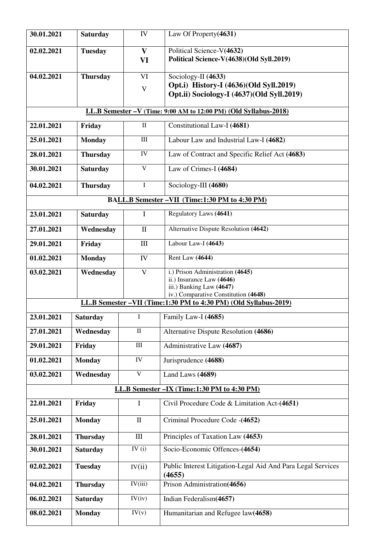| 30.01.2021                                                       | <b>Saturday</b> | IV                      | Law Of Property(4631)                                                                     |  |  |  |  |
|------------------------------------------------------------------|-----------------|-------------------------|-------------------------------------------------------------------------------------------|--|--|--|--|
| 02.02.2021                                                       | <b>Tuesday</b>  | $\mathbf{V}$<br>VI      | Political Science-V(4632)<br>Political Science-V(4638)(Old Syll.2019)                     |  |  |  |  |
| 04.02.2021                                                       | <b>Thursday</b> | VI                      | Sociology-II (4633)                                                                       |  |  |  |  |
|                                                                  |                 | $\mathbf V$             | Opt.i) History-I (4636)(Old Syll.2019)<br>Opt.ii) Sociology-I (4637)(Old Syll.2019)       |  |  |  |  |
| LL.B Semester -V (Time: 9:00 AM to 12:00 PM) (Old Syllabus-2018) |                 |                         |                                                                                           |  |  |  |  |
| 22.01.2021                                                       | Friday          | $\mathbf{I}$            | Constitutional Law-I (4681)                                                               |  |  |  |  |
| 25.01.2021                                                       | <b>Monday</b>   | III                     | Labour Law and Industrial Law-I (4682)                                                    |  |  |  |  |
| 28.01.2021                                                       | <b>Thursday</b> | IV                      | Law of Contract and Specific Relief Act (4683)                                            |  |  |  |  |
| 30.01.2021                                                       | <b>Saturday</b> | $\mathbf V$             | Law of Crimes-I (4684)                                                                    |  |  |  |  |
| 04.02.2021                                                       | <b>Thursday</b> | $\mathbf I$             | Sociology-III (4680)                                                                      |  |  |  |  |
| BALL.B Semester - VII (Time:1:30 PM to 4:30 PM)                  |                 |                         |                                                                                           |  |  |  |  |
| 23.01.2021                                                       | <b>Saturday</b> | I                       | Regulatory Laws (4641)                                                                    |  |  |  |  |
| 27.01.2021                                                       | Wednesday       | $\mathbf{I}$            | Alternative Dispute Resolution (4642)                                                     |  |  |  |  |
| 29.01.2021                                                       | Friday          | III                     | Labour Law-I (4643)                                                                       |  |  |  |  |
| 01.02.2021                                                       | <b>Monday</b>   | IV                      | Rent Law (4644)                                                                           |  |  |  |  |
| 03.02.2021                                                       | Wednesday       | $\overline{\mathbf{V}}$ | i.) Prison Administration (4645)<br>ii.) Insurance Law (4646)<br>iii.) Banking Law (4647) |  |  |  |  |
|                                                                  |                 |                         | iv.) Comparative Constitution (4648)                                                      |  |  |  |  |
| LL.B Semester -VII (Time:1:30 PM to 4:30 PM) (Old Syllabus-2019) |                 |                         |                                                                                           |  |  |  |  |
| 23.01.2021                                                       | <b>Saturday</b> | I                       | Family Law-I (4685)                                                                       |  |  |  |  |
| 27.01.2021                                                       | Wednesday       | $\rm II$                | Alternative Dispute Resolution (4686)                                                     |  |  |  |  |
| 29.01.2021                                                       | Friday          | $\rm III$               | Administrative Law (4687)                                                                 |  |  |  |  |
| 01.02.2021                                                       | <b>Monday</b>   | ${\bf IV}$              | Jurisprudence (4688)                                                                      |  |  |  |  |
| 03.02.2021                                                       | Wednesday       | $\mathbf V$             | Land Laws (4689)                                                                          |  |  |  |  |
| LL.B Semester - IX (Time:1:30 PM to 4:30 PM)                     |                 |                         |                                                                                           |  |  |  |  |
| 22.01.2021                                                       | Friday          | I                       | Civil Procedure Code & Limitation Act-(4651)                                              |  |  |  |  |
| 25.01.2021                                                       | <b>Monday</b>   | $\mathbf{I}$            | Criminal Procedure Code -(4652)                                                           |  |  |  |  |
| 28.01.2021                                                       | <b>Thursday</b> | $\rm III$               | Principles of Taxation Law (4653)                                                         |  |  |  |  |
| 30.01.2021                                                       | <b>Saturday</b> | IV $(i)$                | Socio-Economic Offences-(4654)                                                            |  |  |  |  |
| 02.02.2021                                                       | <b>Tuesday</b>  | IV(ii)                  | Public Interest Litigation-Legal Aid And Para Legal Services<br>(4655)                    |  |  |  |  |
| 04.02.2021                                                       | <b>Thursday</b> | IV(iii)                 | Prison Administration(4656)                                                               |  |  |  |  |
| 06.02.2021                                                       | <b>Saturday</b> | IV(iv)                  | Indian Federalism(4657)                                                                   |  |  |  |  |
| 08.02.2021                                                       | <b>Monday</b>   | IV(v)                   | Humanitarian and Refugee law(4658)                                                        |  |  |  |  |